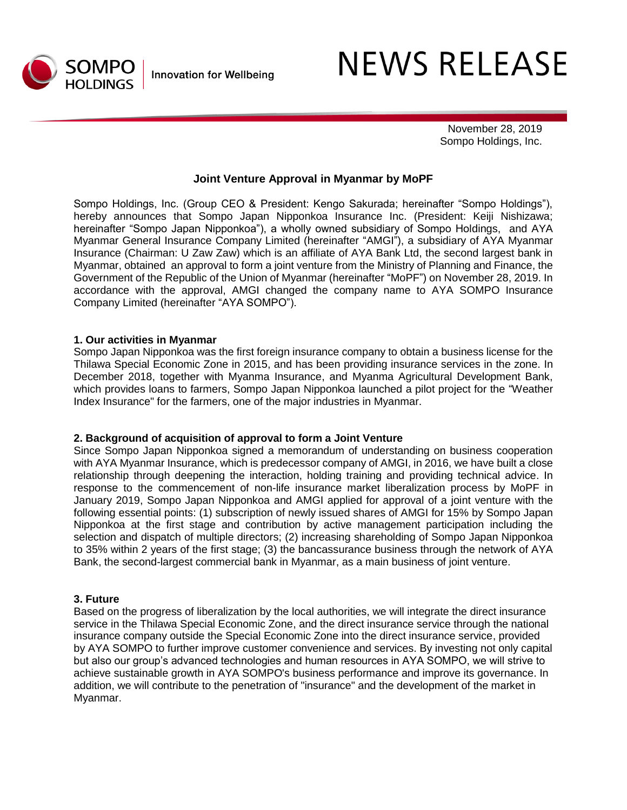

# **NEWS RELEASE**

 November 28, 2019 Sompo Holdings, Inc.

### **Joint Venture Approval in Myanmar by MoPF**

Sompo Holdings, Inc. (Group CEO & President: Kengo Sakurada; hereinafter "Sompo Holdings"), hereby announces that Sompo Japan Nipponkoa Insurance Inc. (President: Keiji Nishizawa; hereinafter "Sompo Japan Nipponkoa"), a wholly owned subsidiary of Sompo Holdings, and AYA Myanmar General Insurance Company Limited (hereinafter "AMGI"), a subsidiary of AYA Myanmar Insurance (Chairman: U Zaw Zaw) which is an affiliate of AYA Bank Ltd, the second largest bank in Myanmar, obtained an approval to form a joint venture from the Ministry of Planning and Finance, the Government of the Republic of the Union of Myanmar (hereinafter "MoPF") on November 28, 2019. In accordance with the approval, AMGI changed the company name to AYA SOMPO Insurance Company Limited (hereinafter "AYA SOMPO").

#### **1. Our activities in Myanmar**

Sompo Japan Nipponkoa was the first foreign insurance company to obtain a business license for the Thilawa Special Economic Zone in 2015, and has been providing insurance services in the zone. In December 2018, together with Myanma Insurance, and Myanma Agricultural Development Bank, which provides loans to farmers, Sompo Japan Nipponkoa launched a pilot project for the "Weather Index Insurance" for the farmers, one of the major industries in Myanmar.

#### **2. Background of acquisition of approval to form a Joint Venture**

Since Sompo Japan Nipponkoa signed a memorandum of understanding on business cooperation with AYA Myanmar Insurance, which is predecessor company of AMGI, in 2016, we have built a close relationship through deepening the interaction, holding training and providing technical advice. In response to the commencement of non-life insurance market liberalization process by MoPF in January 2019, Sompo Japan Nipponkoa and AMGI applied for approval of a joint venture with the following essential points: (1) subscription of newly issued shares of AMGI for 15% by Sompo Japan Nipponkoa at the first stage and contribution by active management participation including the selection and dispatch of multiple directors; (2) increasing shareholding of Sompo Japan Nipponkoa to 35% within 2 years of the first stage; (3) the bancassurance business through the network of AYA Bank, the second-largest commercial bank in Myanmar, as a main business of joint venture.

#### **3. Future**

Based on the progress of liberalization by the local authorities, we will integrate the direct insurance service in the Thilawa Special Economic Zone, and the direct insurance service through the national insurance company outside the Special Economic Zone into the direct insurance service, provided by AYA SOMPO to further improve customer convenience and services. By investing not only capital but also our group's advanced technologies and human resources in AYA SOMPO, we will strive to achieve sustainable growth in AYA SOMPO's business performance and improve its governance. In addition, we will contribute to the penetration of "insurance" and the development of the market in Myanmar.